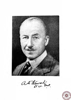

as dévouligne

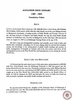# **ALEXANDER DRON STEWART**

# **(1883** - **1969)**

# **Foundation Fellow**

### **BIRTH**

LT-COL ALEXANDER DRON STEWART CIE, MBChB (Hon.), LLD (Hon), FRCP(Edin), FRCS (Edin), DTM and H., DPH, FRS (E), IMS (Retd), son of the Late William Stewart of Blairgowrie (Scotland), a leading teacher of Public Health and Founder Director of the All India Institute of Hygiene and Public Health, the only all round Public Health Institute in South-East Asia, was born at Blaiigowrie on the 22nd June, 1883 and passed away on August 15, 1969 in an Edinburgh Nursing Home at the age of 86.

He had a long and distinguished academic and scientific career both in India and British Isles (Scotland), extending over 42 years during which he devoted his boundless energy and knowledge to the advancement of public health teaching and practice in India, management of hospitals at Calcutta and in his own country and above all his distinguished service in the First World War and humanitarian service during the Second World War.

# **EARLY LIFE AND EDUCATION**

Col Stewart had his early school career in his native place and graduated as MBChB with First Class Honours from the Edinburgh University in 1906 and passed into the Indian Medical Service the same year. During the preliminary years of his Military Medical Service he took study leave and obtained his FRCS (Edin) and DTM and H in 1913 and caught up in the First World War (1914-1918) while posted as the Health Officer of Simla. In 1920 he obtained the DPH and thereafter his career in India was bound up with preventive medicine and public health teaching and practice.

# **MARRIED LIFE**

He married Isobel Marguerita, daughter of Mr Alexender Mann of Edinburgh in 1916 and had two sons. His wife predeceased him and out of his two sons only one who is a medical man is surviving.

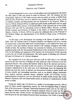#### *Biographical Memoirs*

### SERVICE **AND CAREER**

He had distinguished service career in both military and civil assignments. He joined the IMS cadre in 1906 and arrived in India in February, 1907. He obtained his first postgraduate diploma in 1913 while on leave and was posted on return as MOH Simla when the First World War started to which he was recalled. During this war he served in Gallipoli, Salonika and Mesopotamia and was mentioned in the despatch. While on leave in 1920 he obtained DPH as an additional public health qualification and was again posted as MOH, Simla and later as the Health Officer of the Imperial City of New Delhi. Between 1922 and 1927 he successively served as Health Officer, Director of Public Health, Lecturer and Professor of Hygiene at the School of Tropical Medicine and Hygiene, Calcutta. In March, 1929 he was given the additional duty as the Principal of the Medical College and Superintendent of the Medical College group of Hospitals, Calcutta.

At this stage a new development was brewing in the history of public health in India. After the Calcutta School of Tropical Medicine and Hygiene had been running for several years as the brain child of Sir Leonard Rogers, it was realized that there was a need for a first class Institute devoted entirely to the teaching of Hygiene and Public Health in India. The problem of finance was overcome in Calcutta, as in London, by a munificent grant from the International Health Board of the Rockefeller Foundation of USA for the building and equipment of the Institute, the Government of India agreeing to meet the cost of staff and maintenance. The entire gamut of planning and execution fell upon Col Stewart as its Director-designate.

He completed the work with great skill and credit by **1933** when it was officially opened by the then Governor of Bengal, Sir John Anderson, with Col Stewart as its first appointed Director. The position this Institute holds to day in the national and international fields of hygiene and public health owes much to Col Stewart's wise planning and energistic administration in the early years of its functioning. Since the beginning this Institute has been the centre of national and international training in public health and of many valuable and outstanding researches, such as, on cholera, plague, blackwater fever, malaria, nutrition, epidemic dropsy, sanitation, health and morbidity surveys, epidemiological investigations and new innovations in public health practice like establishment of primary rural and urban health centres as methods of comprehensive health service in India.

During the initial stage Col Stewart as a symbol of encouraging research, offered space for three outside organisations namely, the field Investigating Wing of Malaria Unit of the Government of Bengal, Tuberculosis Research under Late Dr AC **Ukil** and two wings of cholera research, one of Chemical Antigenic Structure under late Dr RM Linton and the other Cholera Carrier and Epidemiological Unit under late Dr RB (Eal) both financed by the then Indian Research Fund Association, New Delhi to house then

\$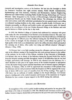research and investigation centres at the Institute. He had also the foresight to divide the Institute's functions into eight sections namely, Public Health Administration, Epidemiology and Vital Statistics, Nutrition and Biochemistry, Sanitary Engineering, Maternal and Child Welfare including Public Health Nursing, Malariology and Venereal Diseases (later designated as the Section of Microbiology), Industrial Hygiene and Occupational Health and the Public Health Library. The advantage was obvious. Not only each section could offer individual specialisation but also gained much in providing co-ordinated teaching facilities in the wider context of public health. Col Stewart was a dynamic personality, an efficient and lovable teacher and appreciative guide. He himself acted as the co-ordinator of the two Cholera Research Wings at the Institute and took special interest to follow up the day to day work.

In **1935,** the Medical College of Calcutta had celebrated its centenary with great eclat under the able stewardship of Col Stewart as its Secretary General. The same year (Oct., **1935)** he was appointed as the Superintendent of the Royal Infirmary of Edinburgh and through the **10** difficult years that followed during the 2nd World War he proved to be a tower of strength. On his retirement on June **3,** 1946 tribute was paid to "the high quality of his work as an administrator and to the selfless devotion which had marked the carrying out of duties, often under very trying and difficult situation" (Manager's Minutes, **3** May, **1948).** 

Col Stewart had a very high standing among his colleagues and was interested not only in the efficient running of the hospital but also took personal interest in the welfare of the patients. In the words of Mrs Gibson, Archivist of the University of Edinburgh, Col Stewart, who was in charge of the Infirmary during the Second World War, had to keep the hospital running smoothly throughout, inspite of all difficulties that the war had brought, particularly staff shortage. In **1938** he was released from the Infirmary for a short duration to take part in the urgent survey of the Scottish hospitals in anticipation of war, the matter being of great national importance and of extreme urgency (Manager's Minutes, 24 January, **1938).** In **1939** he supervised the evacuation of 600 patients from the Infirmary and air-raid precautions within the hospital. In **1944** he organised the reception of about 1200 severe cases of casualties from the D-Day landings. Then again in 1948 there was an outbreak of Asiatic smallpox in the Royal Infirmary. Col Stewart played a leading part in the control measures and because of his experience in Tropical Medicine he was a source of great support to the MOH during this outbreak.

### **AWARDS AND HONOURS**

In recognition of his work in public health teaching and practice he was given CIE and Order of St John of Jerusalem in **1934.** The Medical and Veterinary section of Indian Science Congress elected him as President for the year **1933** and to the Found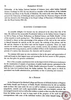#### *Biographical Memoirs*

Fellowship of the Indian National Institute of Sciences (now called Indian National Science Academy) in 1935. He was elected as a member of the Syndicate of the Calcutta University and Dean of the Faculty of Medicine. His work in his own Alma Mater impressed the University of Edinburgh which awarded him the Honorary Degree of LLD and was elected to the Fellowship of the Royal College of Physicians of Edinburgh **and**  also the Royal Society FRS (E).

#### **SCIENTIFIC CONTRIBUTIONS**

In scientific thdughts Col Stewart was far advanced in his ideas than that of his time. He delivered his memorable Presidential Address in the Indian Science Congress in 1933 at Patna on "Some Reflections on Medical Science and Public Health". **b.** few of his remarks is worth quoting here : "The thinking man at some periods of his life puts to himself or thrust on him questionings of the purpose of life, and on his own answer to himself depends his outiook on life, his career, the ordering of his actions, and his life and his relations to his fellow men and his bequest to posterity. There are many answers for wealth, power, happiness, peace, security, service, the avoidance of the disturbing and distressing situation, and the resultant of these on the intellectual and thinking persons of a nation that determines the character and its purpose."

"In common with many my own conviction is that in the quest and appreciation of truth and beauty in their largest sense and meaning lies the best answer to life's purpose, the one that gives the greatest satisfaction."

Most of his scientific contributions were on the improvement of laboratory techniques for the examination of samples of specimens of public health interest, epitomised in the publication of a standard book on "Public Health Laboratory Practice" in collaboration with the Late Col Crawford Boyd, the Indian students. The other aspect in which he specialised was health administration, particularly on that of planning and research.

# **AS A PERSON**

As the Principal of the Medical College and Director of **All** India Institute of Hygiene and Public Health and Professor of Public Health Administration he left an indelible mark on those who came under his care as staff or students or research workers for his sympathetic, amiable and easily approachable nature and ever-helpful outlook. He encouraged research work as well as the workers so much so that even after his retirement from the Indian scene he used to keep track of the progress of the work by dreed correspondence with some of the individual workers (the writer himself **being**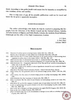them). According to him public health work means love for humanity as exemplified **by**  true socialism, service and sacrifice.

Due to long years of gap all his scientific publications could not be traced and hence the list given is apparently incomplete.

#### **ACKNOWLEDGEMENT**

The author acknowledges with thanks the help he received in preparing this biography from the Librarians of the British Council and the National Library, Calcutta, All India Institute of Hygiene and Public Health, Calcutta, the Archivist, Royal Infirmary, Edinburgh and the office of the High Commissioner, London.

> S C SEAL 2, *Fern Place Calcutta 700019*

#### **BIBLIOGRAPHY**

- 1922 Detection of anthrax spores in shaving brushes. Indian *Med* Gaz, LVII, 204.
- Relative rate of absorption of solar radiant heat of silt-laden Water.Ibid., **LVII,** 289.
- 1924 (With GOVINDA RAJU V) Some further observation on the species method of differentiating faecal organisms in surface water, in the tropics. Indian *2. Med* Res., *XX,.* 1157.
- 1925 (With GOVINDA RAJU V) Economical use of alum in mechanical filters. Ibid., XXII, 737.
- (With GOVINDA RAJU **V)** On the commercial preparation of a neutral soft soap. Ibid., XXII, 782.
- 1928 (With BANERJEE NL) Comparative observation of the Wijs and H nus' method of determining the iodine value of oils. Ibid., *XV,* G87.
	- A note on the utility of the solution of calcium hypochlorite intended for use in snake-bite. *Indian Med.* Gaz., LXIII, 70.
	- (With BOYD TC) Public Health Laboratory Practice Oxford University Press, Calcutta.
- (With GHOSAL SC) The germicidal action of the activated sludge process. Indian J. Med. Res., XVI, 1929 989.
- (With GHOSAL SC) The action of activated sludge process on sewage bacteriophage. Ibid., XXVII, 1930 1218.
	- (With BANERJEE NL) The Cryoscopy of Calcutta milk, Ibid., **XVII,** 57.
- (With CHATTERJEE NK) The effect of sand filtration on bacteriophage present in raw water. Ibid., 1931 XIX, 137.
	- (With BOYD TC and DE DC) Analysis of calorific value of some Indian food stuff. Ibid., XIX, 675.
	- A note on epidemiology with special reference to the role of bacteriophage in public health. Indian *Med.* Gaz., XLVI, 206.
	- Note on the visit to Bangkok and Siam presented at the eighth **FEATM** Congress. Ibid., XLVI, 396.
	- Notes on the visit to Malay Peninsula. Ibid., XLVI, 457.
	- (With CHATTERJEE NK) Note on the determination of nitrogen in sour milk as a subsidiary standard
	- of purity. Ibid., XLVI, 320.

91